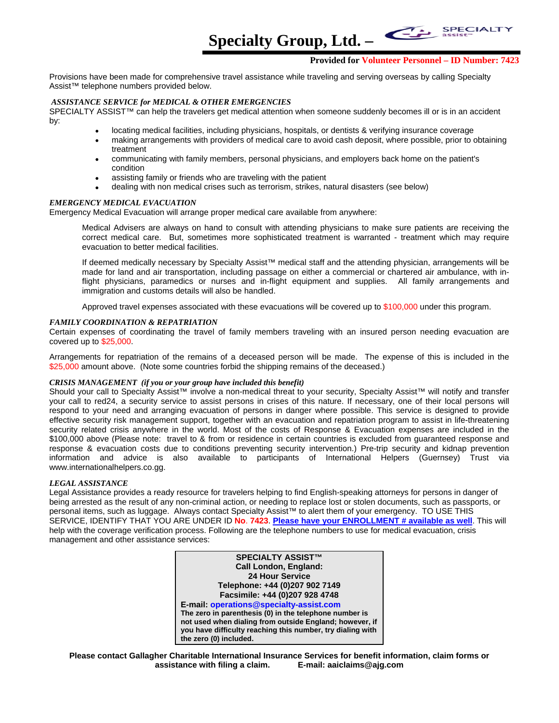**Specialty Group, Ltd. –** 

### **Provided for Volunteer Personnel – ID Number: 7423**

**SPECIALT** 

Provisions have been made for comprehensive travel assistance while traveling and serving overseas by calling Specialty Assist™ telephone numbers provided below.

### *ASSISTANCE SERVICE for MEDICAL & OTHER EMERGENCIES*

SPECIALTY ASSIST™ can help the travelers get medical attention when someone suddenly becomes ill or is in an accident by:

- locating medical facilities, including physicians, hospitals, or dentists & verifying insurance coverage
- making arrangements with providers of medical care to avoid cash deposit, where possible, prior to obtaining treatment
- communicating with family members, personal physicians, and employers back home on the patient's condition
- assisting family or friends who are traveling with the patient
- dealing with non medical crises such as terrorism, strikes, natural disasters (see below)

### *EMERGENCY MEDICAL EVACUATION*

Emergency Medical Evacuation will arrange proper medical care available from anywhere:

 Medical Advisers are always on hand to consult with attending physicians to make sure patients are receiving the correct medical care. But, sometimes more sophisticated treatment is warranted - treatment which may require evacuation to better medical facilities.

 If deemed medically necessary by Specialty Assist™ medical staff and the attending physician, arrangements will be made for land and air transportation, including passage on either a commercial or chartered air ambulance, with inflight physicians, paramedics or nurses and in-flight equipment and supplies. All family arrangements and immigration and customs details will also be handled.

Approved travel expenses associated with these evacuations will be covered up to \$100,000 under this program.

### *FAMILY COORDINATION & REPATRIATION*

Certain expenses of coordinating the travel of family members traveling with an insured person needing evacuation are covered up to \$25,000.

Arrangements for repatriation of the remains of a deceased person will be made. The expense of this is included in the \$25,000 amount above. (Note some countries forbid the shipping remains of the deceased.)

### *CRISIS MANAGEMENT (if you or your group have included this benefit)*

Should your call to Specialty Assist™ involve a non-medical threat to your security, Specialty Assist™ will notify and transfer your call to red24, a security service to assist persons in crises of this nature. If necessary, one of their local persons will respond to your need and arranging evacuation of persons in danger where possible. This service is designed to provide effective security risk management support, together with an evacuation and repatriation program to assist in life-threatening security related crisis anywhere in the world. Most of the costs of Response & Evacuation expenses are included in the \$100,000 above (Please note: travel to & from or residence in certain countries is excluded from guaranteed response and response & evacuation costs due to conditions preventing security intervention.) Pre-trip security and kidnap prevention information and advice is also available to participants of International Helpers (Guernsey) Trust via www.internationalhelpers.co.gg.

### *LEGAL ASSISTANCE*

Legal Assistance provides a ready resource for travelers helping to find English-speaking attorneys for persons in danger of being arrested as the result of any non-criminal action, or needing to replace lost or stolen documents, such as passports, or personal items, such as luggage. Always contact Specialty Assist™ to alert them of your emergency. TO USE THIS SERVICE, IDENTIFY THAT YOU ARE UNDER ID **No**. **7423**. **Please have your ENROLLMENT # available as well**. This will help with the coverage verification process. Following are the telephone numbers to use for medical evacuation, crisis management and other assistance services:

> **SPECIALTY ASSIST™ Call London, England: 24 Hour Service Telephone: +44 (0)207 902 7149 Facsimile: +44 (0)207 928 4748 E-mail: operations@specialty-assist.com The zero in parenthesis (0) in the telephone number is not used when dialing from outside England; however, if you have difficulty reaching this number, try dialing with the zero (0) included.**

**Please contact Gallagher Charitable International Insurance Services for benefit information, claim forms or assistance with filing a claim. E-mail: aaiclaims@ajg.com**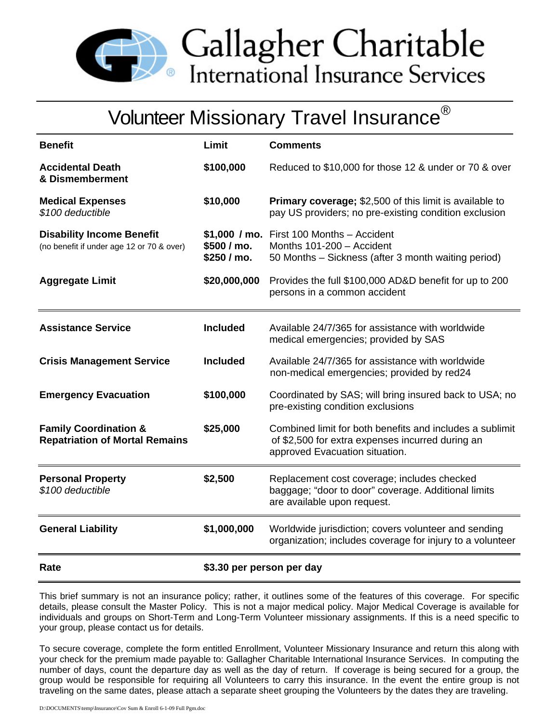

Gallagher Charitable<br>International Insurance Services

# Volunteer Missionary Travel Insurance<sup>®</sup>

| <b>Benefit</b>                                                                | Limit                      | <b>Comments</b>                                                                                                                                |
|-------------------------------------------------------------------------------|----------------------------|------------------------------------------------------------------------------------------------------------------------------------------------|
| <b>Accidental Death</b><br>& Dismemberment                                    | \$100,000                  | Reduced to \$10,000 for those 12 & under or 70 & over                                                                                          |
| <b>Medical Expenses</b><br>\$100 deductible                                   | \$10,000                   | <b>Primary coverage; \$2,500 of this limit is available to</b><br>pay US providers; no pre-existing condition exclusion                        |
| <b>Disability Income Benefit</b><br>(no benefit if under age 12 or 70 & over) | \$500 / mo.<br>\$250 / mo. | $$1,000$ / mo. First 100 Months - Accident<br>Months 101-200 - Accident<br>50 Months - Sickness (after 3 month waiting period)                 |
| <b>Aggregate Limit</b>                                                        | \$20,000,000               | Provides the full \$100,000 AD&D benefit for up to 200<br>persons in a common accident                                                         |
| <b>Assistance Service</b>                                                     | <b>Included</b>            | Available 24/7/365 for assistance with worldwide<br>medical emergencies; provided by SAS                                                       |
| <b>Crisis Management Service</b>                                              | <b>Included</b>            | Available 24/7/365 for assistance with worldwide<br>non-medical emergencies; provided by red24                                                 |
| <b>Emergency Evacuation</b>                                                   | \$100,000                  | Coordinated by SAS; will bring insured back to USA; no<br>pre-existing condition exclusions                                                    |
| <b>Family Coordination &amp;</b><br><b>Repatriation of Mortal Remains</b>     | \$25,000                   | Combined limit for both benefits and includes a sublimit<br>of \$2,500 for extra expenses incurred during an<br>approved Evacuation situation. |
| <b>Personal Property</b><br>\$100 deductible                                  | \$2,500                    | Replacement cost coverage; includes checked<br>baggage; "door to door" coverage. Additional limits<br>are available upon request.              |
| <b>General Liability</b>                                                      | \$1,000,000                | Worldwide jurisdiction; covers volunteer and sending<br>organization; includes coverage for injury to a volunteer                              |
| Rate                                                                          | \$3.30 per person per day  |                                                                                                                                                |

This brief summary is not an insurance policy; rather, it outlines some of the features of this coverage. For specific details, please consult the Master Policy. This is not a major medical policy. Major Medical Coverage is available for individuals and groups on Short-Term and Long-Term Volunteer missionary assignments. If this is a need specific to your group, please contact us for details.

To secure coverage, complete the form entitled Enrollment, Volunteer Missionary Insurance and return this along with your check for the premium made payable to: Gallagher Charitable International Insurance Services. In computing the number of days, count the departure day as well as the day of return. If coverage is being secured for a group, the group would be responsible for requiring all Volunteers to carry this insurance. In the event the entire group is not traveling on the same dates, please attach a separate sheet grouping the Volunteers by the dates they are traveling.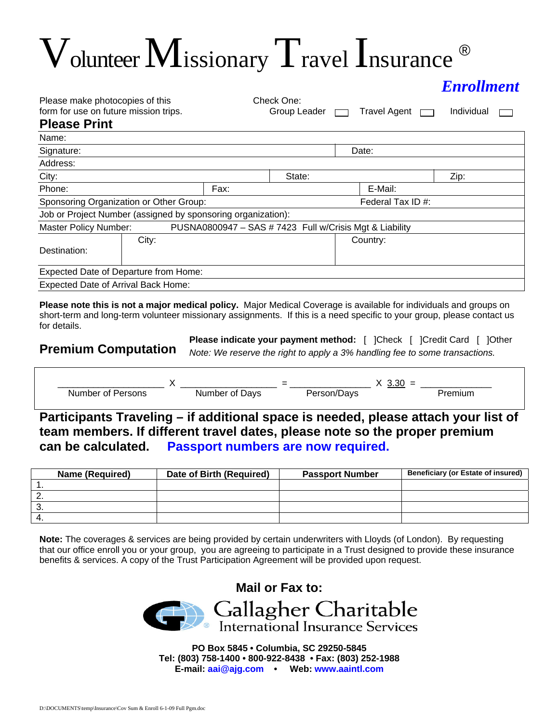# $V$ olunteer  $M$ issionary  $T$ ravel Insurance ®

| <b>Enrollment</b> |
|-------------------|
|                   |

| Please make photocopies of this       |  |
|---------------------------------------|--|
| form for use on future mission trips. |  |

**Check One:** 

 $Group$  Leader  $\Box$  Travel Agent  $\Box$  Individual  $\Box$ 

# **Please Print**

| Name:                                                        |       |                   |        |                                                         |      |
|--------------------------------------------------------------|-------|-------------------|--------|---------------------------------------------------------|------|
| Signature:                                                   |       |                   |        | Date:                                                   |      |
| Address:                                                     |       |                   |        |                                                         |      |
| City:                                                        |       |                   | State: |                                                         | Zip: |
| Phone:                                                       |       | Fax:              |        | E-Mail:                                                 |      |
| Sponsoring Organization or Other Group:                      |       | Federal Tax ID #: |        |                                                         |      |
| Job or Project Number (assigned by sponsoring organization): |       |                   |        |                                                         |      |
| <b>Master Policy Number:</b>                                 |       |                   |        | PUSNA0800947 - SAS # 7423 Full w/Crisis Mgt & Liability |      |
| Destination:                                                 | City: |                   |        | Country:                                                |      |
| Expected Date of Departure from Home:                        |       |                   |        |                                                         |      |
| <b>Expected Date of Arrival Back Home:</b>                   |       |                   |        |                                                         |      |

**Please note this is not a major medical policy.** Major Medical Coverage is available for individuals and groups on short-term and long-term volunteer missionary assignments. If this is a need specific to your group, please contact us for details.

# **Premium Computation**

**Please indicate your payment method:** [ ]Check [ ]Credit Card [ ]Other *Note: We reserve the right to apply a 3% handling fee to some transactions.*

|                     |                      | $\overline{\phantom{a}}$ |            |  |
|---------------------|----------------------|--------------------------|------------|--|
| Number<br>ons<br>0t | Javs<br>∩t<br>Number | HV:                      | minm<br>ши |  |

**Participants Traveling – if additional space is needed, please attach your list of team members. If different travel dates, please note so the proper premium can be calculated. Passport numbers are now required.** 

|     | <b>Name (Required)</b> | Date of Birth (Required) | <b>Passport Number</b> | <b>Beneficiary (or Estate of insured)</b> |
|-----|------------------------|--------------------------|------------------------|-------------------------------------------|
|     |                        |                          |                        |                                           |
|     |                        |                          |                        |                                           |
| . ب |                        |                          |                        |                                           |
|     |                        |                          |                        |                                           |

**Note:** The coverages & services are being provided by certain underwriters with Lloyds (of London). By requesting that our office enroll you or your group, you are agreeing to participate in a Trust designed to provide these insurance benefits & services. A copy of the Trust Participation Agreement will be provided upon request.



**PO Box 5845 • Columbia, SC 29250-5845 Tel: (803) 758-1400 • 800-922-8438 • Fax: (803) 252-1988 E-mail: aai@ajg.com • Web: www.aaintl.com**